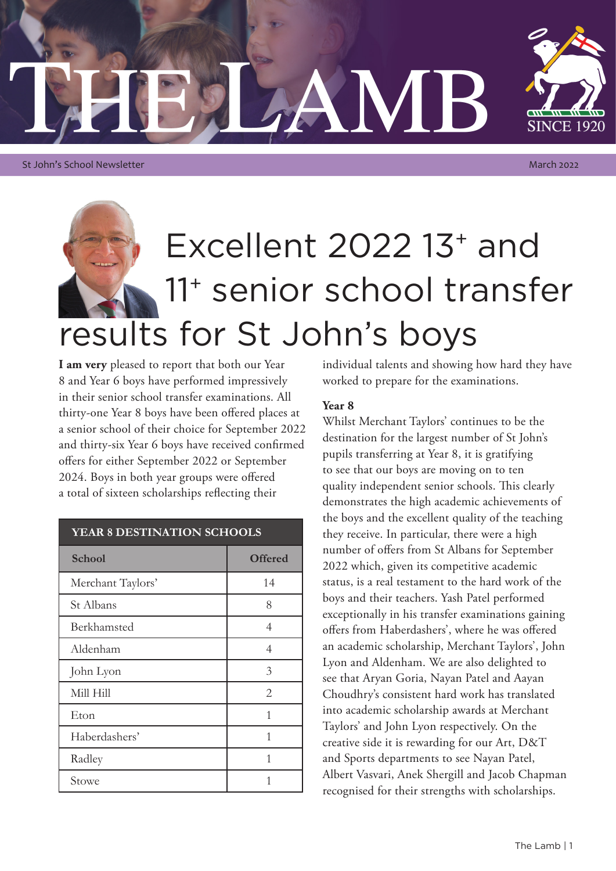

St John's School Newsletter March 2022

# Excellent 2022 13+ and 11+ senior school transfer results for St John's boys

**I am very** pleased to report that both our Year 8 and Year 6 boys have performed impressively in their senior school transfer examinations. All thirty-one Year 8 boys have been offered places at a senior school of their choice for September 2022 and thirty-six Year 6 boys have received confirmed offers for either September 2022 or September 2024. Boys in both year groups were offered a total of sixteen scholarships reflecting their

| YEAR 8 DESTINATION SCHOOLS |                |
|----------------------------|----------------|
| <b>School</b>              | <b>Offered</b> |
| Merchant Taylors'          | 14             |
| St Albans                  | 8              |
| Berkhamsted                | 4              |
| Aldenham                   | 4              |
| John Lyon                  | 3              |
| Mill Hill                  | 2              |
| Eton                       | 1              |
| Haberdashers'              | 1              |
| Radley                     | 1              |
| Stowe                      |                |

individual talents and showing how hard they have worked to prepare for the examinations.

### **Year 8**

Whilst Merchant Taylors' continues to be the destination for the largest number of St John's pupils transferring at Year 8, it is gratifying to see that our boys are moving on to ten quality independent senior schools. This clearly demonstrates the high academic achievements of the boys and the excellent quality of the teaching they receive. In particular, there were a high number of offers from St Albans for September 2022 which, given its competitive academic status, is a real testament to the hard work of the boys and their teachers. Yash Patel performed exceptionally in his transfer examinations gaining offers from Haberdashers', where he was offered an academic scholarship, Merchant Taylors', John Lyon and Aldenham. We are also delighted to see that Aryan Goria, Nayan Patel and Aayan Choudhry's consistent hard work has translated into academic scholarship awards at Merchant Taylors' and John Lyon respectively. On the creative side it is rewarding for our Art, D&T and Sports departments to see Nayan Patel, Albert Vasvari, Anek Shergill and Jacob Chapman recognised for their strengths with scholarships.